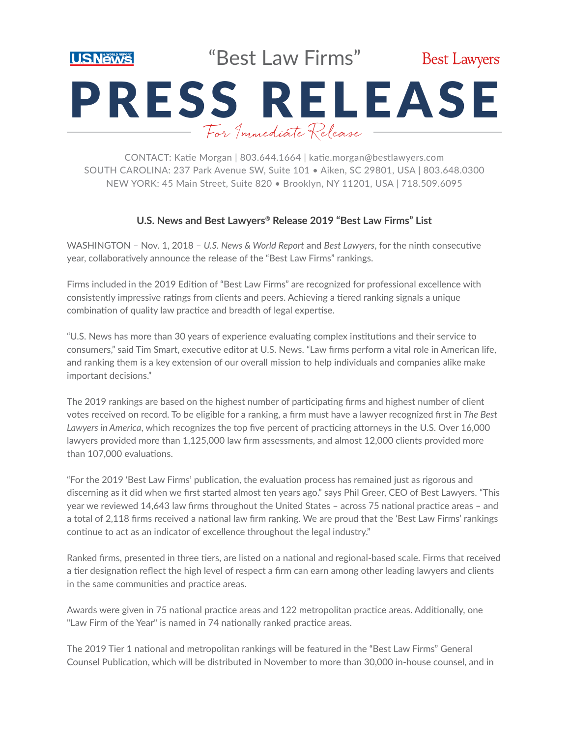

"Best Law Firms"



# PRESS RELEASE For Immediate Release

CONTACT: Katie Morgan | 803.644.1664 | katie.morgan@bestlawyers.com SOUTH CAROLINA: 237 Park Avenue SW, Suite 101 • Aiken, SC 29801, USA | 803.648.0300 NEW YORK: 45 Main Street, Suite 820 • Brooklyn, NY 11201, USA | 718.509.6095

## **U.S. News and Best Lawyers® Release 2019 "Best Law Firms" List**

WASHINGTON - Nov. 1, 2018 - U.S. News & World Report and Best Lawyers, for the ninth consecutive year, collaboratively announce the release of the "Best Law Firms" rankings.

Firms included in the 2019 Edition of "Best Law Firms" are recognized for professional excellence with consistently impressive ratings from clients and peers. Achieving a tiered ranking signals a unique combination of quality law practice and breadth of legal expertise.

"U.S. News has more than 30 years of experience evaluating complex institutions and their service to consumers," said Tim Smart, executive editor at U.S. News. "Law firms perform a vital role in American life, and ranking them is a key extension of our overall mission to help individuals and companies alike make important decisions."

The 2019 rankings are based on the highest number of participating firms and highest number of client votes received on record. To be eligible for a ranking, a firm must have a lawyer recognized first in *The Best Lawyers in America*, which recognizes the top five percent of practicing attorneys in the U.S. Over 16,000 lawyers provided more than 1,125,000 law firm assessments, and almost 12,000 clients provided more than 107,000 evaluations.

"For the 2019 'Best Law Firms' publication, the evaluation process has remained just as rigorous and discerning as it did when we first started almost ten years ago." says Phil Greer, CEO of Best Lawyers. "This year we reviewed 14,643 law firms throughout the United States – across 75 national practice areas – and a total of 2,118 firms received a national law firm ranking. We are proud that the 'Best Law Firms' rankings continue to act as an indicator of excellence throughout the legal industry."

Ranked firms, presented in three tiers, are listed on a national and regional-based scale. Firms that received a tier designation reflect the high level of respect a firm can earn among other leading lawyers and clients in the same communities and practice areas.

Awards were given in 75 national practice areas and 122 metropolitan practice areas. Additionally, one "Law Firm of the Year" is named in 74 nationally ranked practice areas.

The 2019 Tier 1 national and metropolitan rankings will be featured in the "Best Law Firms" General Counsel Publication, which will be distributed in November to more than 30,000 in-house counsel, and in